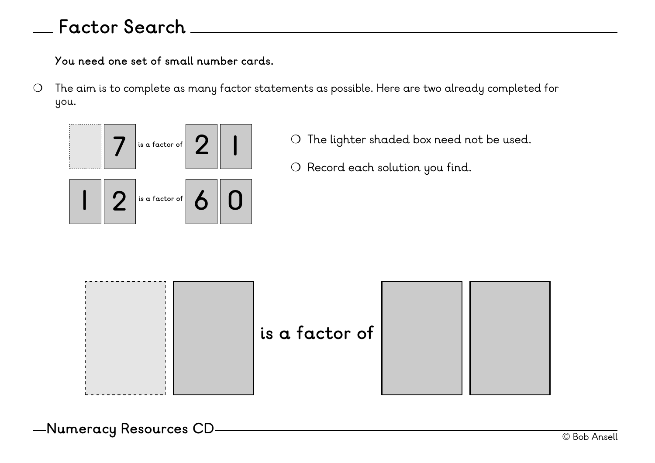## **Factor Search**

**You need one set of small number cards.** 

❍ The aim is to complete as many factor statements as possible. Here are two already completed for you.



- ❍ The lighter shaded box need not be used.
- ❍ Record each solution you find.